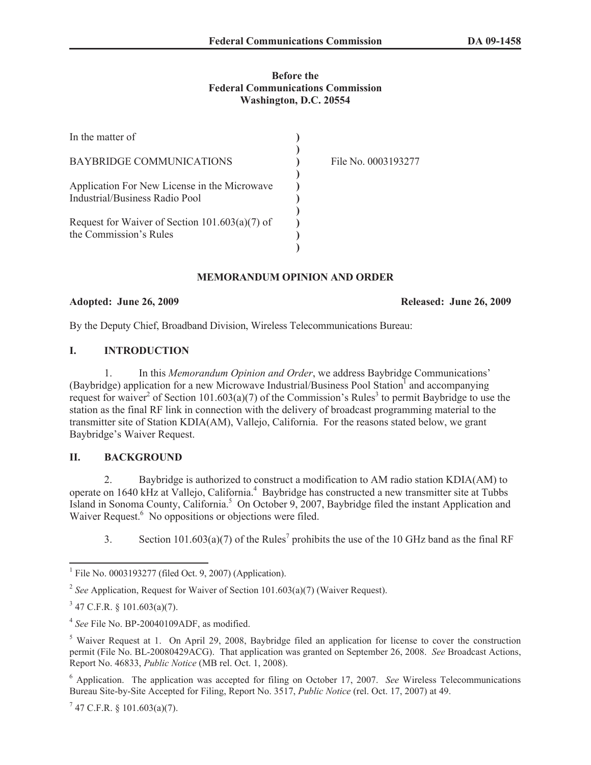## **Before the Federal Communications Commission Washington, D.C. 20554**

| In the matter of                                                               |                     |
|--------------------------------------------------------------------------------|---------------------|
| BAYBRIDGE COMMUNICATIONS                                                       | File No. 0003193277 |
| Application For New License in the Microwave<br>Industrial/Business Radio Pool |                     |
| Request for Waiver of Section $101.603(a)(7)$ of<br>the Commission's Rules     |                     |

## **MEMORANDUM OPINION AND ORDER**

**Adopted: June 26, 2009 Released: June 26, 2009**

By the Deputy Chief, Broadband Division, Wireless Telecommunications Bureau:

# **I. INTRODUCTION**

1. In this *Memorandum Opinion and Order*, we address Baybridge Communications' (Baybridge) application for a new Microwave Industrial/Business Pool Station<sup>1</sup> and accompanying request for waiver<sup>2</sup> of Section 101.603(a)(7) of the Commission's Rules<sup>3</sup> to permit Baybridge to use the station as the final RF link in connection with the delivery of broadcast programming material to the transmitter site of Station KDIA(AM), Vallejo, California. For the reasons stated below, we grant Baybridge's Waiver Request.

## **II. BACKGROUND**

2. Baybridge is authorized to construct a modification to AM radio station KDIA(AM) to operate on 1640 kHz at Vallejo, California.<sup>4</sup> Baybridge has constructed a new transmitter site at Tubbs Island in Sonoma County, California.<sup>5</sup> On October 9, 2007, Baybridge filed the instant Application and Waiver Request.<sup>6</sup> No oppositions or objections were filed.

3. Section 101.603(a)(7) of the Rules<sup>7</sup> prohibits the use of the 10 GHz band as the final RF

<sup>&</sup>lt;sup>1</sup> File No. 0003193277 (filed Oct. 9, 2007) (Application).

<sup>&</sup>lt;sup>2</sup> See Application, Request for Waiver of Section 101.603(a)(7) (Waiver Request).

 $3$  47 C.F.R. § 101.603(a)(7).

<sup>4</sup> *See* File No. BP-20040109ADF, as modified.

<sup>&</sup>lt;sup>5</sup> Waiver Request at 1. On April 29, 2008, Baybridge filed an application for license to cover the construction permit (File No. BL-20080429ACG). That application was granted on September 26, 2008. *See* Broadcast Actions, Report No. 46833, *Public Notice* (MB rel. Oct. 1, 2008).

<sup>6</sup> Application. The application was accepted for filing on October 17, 2007. *See* Wireless Telecommunications Bureau Site-by-Site Accepted for Filing, Report No. 3517, *Public Notice* (rel. Oct. 17, 2007) at 49.

 $7$  47 C.F.R. § 101.603(a)(7).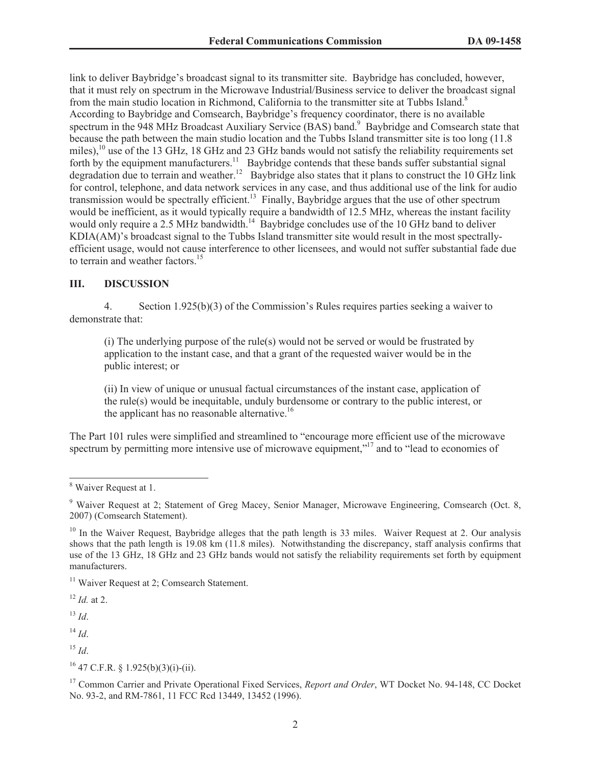link to deliver Baybridge's broadcast signal to its transmitter site. Baybridge has concluded, however, that it must rely on spectrum in the Microwave Industrial/Business service to deliver the broadcast signal from the main studio location in Richmond, California to the transmitter site at Tubbs Island.<sup>8</sup> According to Baybridge and Comsearch, Baybridge's frequency coordinator, there is no available spectrum in the 948 MHz Broadcast Auxiliary Service (BAS) band.<sup>9</sup> Baybridge and Comsearch state that because the path between the main studio location and the Tubbs Island transmitter site is too long (11.8 miles),<sup>10</sup> use of the 13 GHz, 18 GHz and 23 GHz bands would not satisfy the reliability requirements set forth by the equipment manufacturers.<sup>11</sup> Baybridge contends that these bands suffer substantial signal degradation due to terrain and weather.<sup>12</sup> Baybridge also states that it plans to construct the 10 GHz link for control, telephone, and data network services in any case, and thus additional use of the link for audio transmission would be spectrally efficient.<sup>13</sup> Finally, Baybridge argues that the use of other spectrum would be inefficient, as it would typically require a bandwidth of 12.5 MHz, whereas the instant facility would only require a 2.5 MHz bandwidth.<sup>14</sup> Baybridge concludes use of the 10 GHz band to deliver KDIA(AM)'s broadcast signal to the Tubbs Island transmitter site would result in the most spectrallyefficient usage, would not cause interference to other licensees, and would not suffer substantial fade due to terrain and weather factors.<sup>15</sup>

#### **III. DISCUSSION**

4. Section 1.925(b)(3) of the Commission's Rules requires parties seeking a waiver to demonstrate that:

(i) The underlying purpose of the rule(s) would not be served or would be frustrated by application to the instant case, and that a grant of the requested waiver would be in the public interest; or

(ii) In view of unique or unusual factual circumstances of the instant case, application of the rule(s) would be inequitable, unduly burdensome or contrary to the public interest, or the applicant has no reasonable alternative.<sup>16</sup>

The Part 101 rules were simplified and streamlined to "encourage more efficient use of the microwave spectrum by permitting more intensive use of microwave equipment,"<sup>17</sup> and to "lead to economies of

<sup>11</sup> Waiver Request at 2; Comsearch Statement.

<sup>12</sup> *Id.* at 2.

 $^{13}$  *Id*.

 $14$  *Id*.

 $16$  47 C.F.R. § 1.925(b)(3)(i)-(ii).

<sup>17</sup> Common Carrier and Private Operational Fixed Services, *Report and Order*, WT Docket No. 94-148, CC Docket No. 93-2, and RM-7861, 11 FCC Rcd 13449, 13452 (1996).

<sup>&</sup>lt;sup>8</sup> Waiver Request at 1.

<sup>9</sup> Waiver Request at 2; Statement of Greg Macey, Senior Manager, Microwave Engineering, Comsearch (Oct. 8, 2007) (Comsearch Statement).

<sup>&</sup>lt;sup>10</sup> In the Waiver Request, Baybridge alleges that the path length is 33 miles. Waiver Request at 2. Our analysis shows that the path length is 19.08 km (11.8 miles). Notwithstanding the discrepancy, staff analysis confirms that use of the 13 GHz, 18 GHz and 23 GHz bands would not satisfy the reliability requirements set forth by equipment manufacturers.

<sup>15</sup> *Id*.